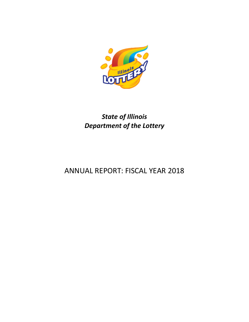

# *State of Illinois Department of the Lottery*

# ANNUAL REPORT: FISCAL YEAR 2018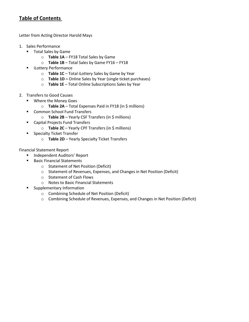# **Table of Contents**

Letter from Acting Director Harold Mays

- 1. Sales Performance
	- **Total Sales by Game** 
		- o **Table 1A**  FY18 Total Sales by Game
		- o **Table 1B** Total Sales by Game FY16 FY18
	- **E** iLottery Performance
		- o **Table 1C** Total iLottery Sales by Game by Year
		- o **Table 1D –** Online Sales by Year (single ticket purchases)
		- o **Table 1E** Total Online Subscriptions Sales by Year
- 2. Transfers to Good Causes
	- **Where the Money Goes** 
		- o **Table 2A** Total Expenses Paid in FY18 (in \$ millions)
	- **EXECOMMON School Fund Transfers** 
		- o **Table 2B** Yearly CSF Transfers (in \$ millions)
	- **EX Capital Projects Fund Transfers** 
		- o **Table 2C** Yearly CPF Transfers (in \$ millions)
	- **Specialty Ticket Transfer** 
		- o **Table 2D** Yearly Specialty Ticket Transfers

# Financial Statement Report

- **Independent Auditors' Report**
- **Basic Financial Statements** 
	- o Statement of Net Position (Deficit)
	- o Statement of Revenues, Expenses, and Changes in Net Position (Deficit)
	- o Statement of Cash Flows
	- o Notes to Basic Financial Statements
- **Supplementary Information** 
	- o Combining Schedule of Net Position (Deficit)
	- o Combining Schedule of Revenues, Expenses, and Changes in Net Position (Deficit)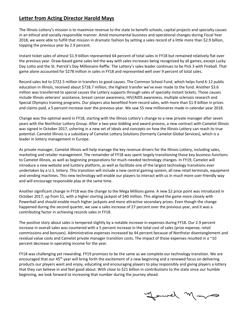# **Letter from Acting Director Harold Mays**

The Illinois Lottery's mission is to maximize revenue to the state to benefit schools, capital projects and specialty causes in an ethical and socially responsible manner. Amid monumental business and operational changes during Fiscal Year 2018, we were able to fulfill that mission in dramatic fashion by setting a sales record of a little more than \$2.9 billion, topping the previous year by 2.9 percent.

Instant ticket sales of almost \$1.9 billion represented 64 percent of total sales in FY18 but remained relatively flat over the previous year. Draw-based game sales led the way with sales increases being recognized by all games, except Lucky Day Lotto and the St. Patrick's Day Millionaire Raffle. The Lottery's sales leader continues to be Pick 3 with Fireball. That game alone accounted for \$278 million in sales in FY18 and represented well over 9 percent of total sales.

Record sales led to \$722.5 million in transfers to good causes. The Common School Fund, which helps fund K-12 public education in Illinois, received about \$718.7 million, the highest transfer we've ever made to the fund. Another \$3.6 million was transferred to special causes the Lottery supports through sales of specialty instant tickets. Those causes include Illinois veterans' assistance, breast cancer awareness, HIV/AIDS awareness, multiple sclerosis research and Special Olympics training programs. Our players also benefited from record sales, with more than \$1.9 billion in prizes and claims paid, a 5 percent increase over the previous year. We saw 55 new millionaires made in calendar year 2018.

Change was the optimal word in FY18, starting with the Illinois Lottery's change to a new private manager after seven years with the Northstar Lottery Group. After a two-year bidding and award process, a new contract with Camelot Illinois was signed in October 2017, ushering in a new set of ideals and concepts on how the Illinois Lottery can reach its true potential. Camelot Illinois is a subsidiary of Camelot Lottery Solutions (formerly Camelot Global Services), which is a leader in lottery management in Europe.

As private manager, Camelot Illinois will help manage the key revenue drivers for the Illinois Lottery, including sales, marketing and retailer management. The remainder of FY18 was spent largely transitioning those key business functions to Camelot Illinois, as well as beginning preparations for much-needed technology changes. In FY19, Camelot will introduce a new website and iLottery platform, as well as facilitate one of the largest technology transitions ever undertaken by a U.S. lottery. This transition will include a new central gaming system, all new retail terminals, equipment and vending machines. This new technology will enable our players to interact with us in much more user-friendly way and will encourage responsible play at the same time.

Another significant change in FY18 was the change to the Mega Millions game. A new \$2 price point was introduced in October 2017, up from \$1, with a higher starting jackpot of \$40 million. This aligned the game more closely with Powerball and should enable much higher jackpots and more attractive secondary prizes. Even though the change happened during the second quarter, we saw a sales increase of 27 percent over the previous year, and it was a contributing factor in achieving records sales in FY18.

The positive story about sales is tempered slightly by a notable increase in expenses during FY18. Our 2.9 percent increase in overall sales was countered with a 5 percent increase in the total cost of sales (prize expense, retail commissions and bonuses). Administrative expenses increased by 44 percent because of Northstar disentanglement and residual value costs and Camelot private manager transition costs. The impact of those expenses resulted in a  $\sim$ 10 percent decrease in operating income for the year.

FY18 was challenging yet rewarding. FY19 promises to be the same as we complete our technology transition. We are encouraged that our 45<sup>th</sup> year will bring forth the excitement of a new beginning and a renewed focus on delivering products our players want and enjoy, educating and encouraging players to play responsibly and giving players a lottery that they can believe in and feel good about. With close to \$21 billion in contributions to the state since our humble beginning, we look forward to increasing that number during the journey ahead.

Jamel Mayno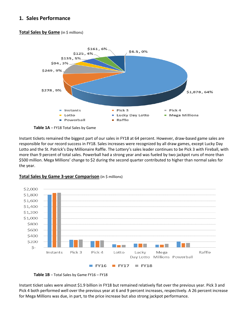# **1. Sales Performance**

# **Total Sales by Game** (in \$ millions)





Instant tickets remained the biggest part of our sales in FY18 at 64 percent. However, draw-based game sales are responsible for our record success in FY18. Sales increases were recognized by all draw games, except Lucky Day Lotto and the St. Patrick's Day Millionaire Raffle. The Lottery's sales leader continues to be Pick 3 with Fireball, with more than 9 percent of total sales. Powerball had a strong year and was fueled by two jackpot runs of more than \$500 million. Mega Millions' change to \$2 during the second quarter contributed to higher than normal sales for the year.



# **Total Sales by Game 3-year Comparison** (in \$ millions)

Instant ticket sales were almost \$1.9 billion in FY18 but remained relatively flat over the previous year. Pick 3 and Pick 4 both performed well over the previous year at 6 and 9 percent increases, respectively. A 26 percent increase for Mega Millions was due, in part, to the price increase but also strong jackpot performance.

**Table 1B** – Total Sales by Game FY16 – FY18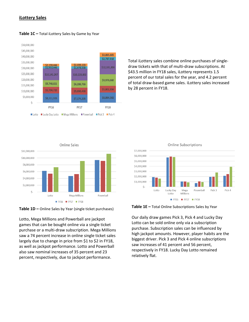# **iLottery Sales**



**Table 1C –** Total iLottery Sales by Game by Year

Total iLottery sales combine online purchases of singledraw tickets with that of multi-draw subscriptions. At \$43.5 million in FY18 sales, iLottery represents 1.5 percent of our total sales for the year, and 4.2 percent of total draw-based game sales. iLottery sales increased by 28 percent in FY18.



**Table 1D –** Online Sales by Year (single ticket purchases)

Lotto, Mega Millions and Powerball are jackpot games that can be bought online via a single ticket purchase or a multi-draw subscription. Mega Millions saw a 74 percent increase in online single ticket sales largely due to change in price from \$1 to \$2 in FY18, as well as jackpot performance. Lotto and Powerball also saw nominal increases of 35 percent and 23 percent, respectively, due to jackpot performance.

**Online Subscriptions** \$7,000,000 \$6,000,000 \$5,000,000 \$4,000,000 \$3,000,000 \$2,000,000 \$1,000,000  $\dot{\mathsf{S}}$ Powerball Pick 3 Pick 4 Lotto Lucky Dav Mega Millions Lotto FY16 FY17 FY18

**Table 1E –** Total Online Subscriptions Sales by Year

Our daily draw games Pick 3, Pick 4 and Lucky Day Lotto can be sold online only via a subscription purchase. Subscription sales can be influenced by high jackpot amounts. However, player habits are the biggest driver. Pick 3 and Pick 4 online subscriptions saw increases of 41 percent and 56 percent, respectively in FY18. Lucky Day Lotto remained relatively flat.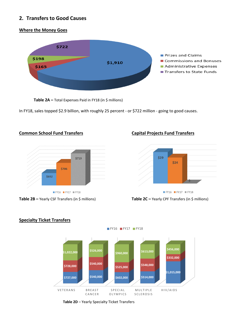# **2. Transfers to Good Causes**



**Where the Money Goes**

**Table 2A –** Total Expenses Paid in FY18 (in \$ millions)

In FY18, sales topped \$2.9 billion, with roughly 25 percent - or \$722 million - going to good causes.



# **Common School Fund Transfers**



# **Capital Projects Fund Transfers**







# **Specialty Ticket Transfers**

**Table 2D** – Yearly Specialty Ticket Transfers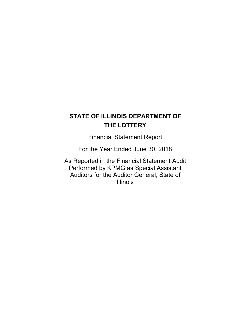Financial Statement Report

For the Year Ended June 30, 2018

As Reported in the Financial Statement Audit Performed by KPMG as Special Assistant Auditors for the Auditor General, State of Illinois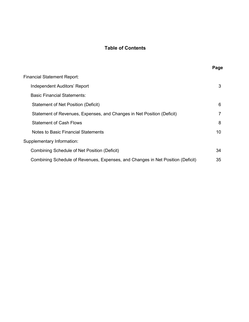# **Table of Contents**

**Page**

| <b>Financial Statement Report:</b>                                              |    |
|---------------------------------------------------------------------------------|----|
| Independent Auditors' Report                                                    | 3  |
| Basic Financial Statements:                                                     |    |
| Statement of Net Position (Deficit)                                             | 6  |
| Statement of Revenues, Expenses, and Changes in Net Position (Deficit)          | 7  |
| <b>Statement of Cash Flows</b>                                                  | 8  |
| <b>Notes to Basic Financial Statements</b>                                      | 10 |
| Supplementary Information:                                                      |    |
| Combining Schedule of Net Position (Deficit)                                    | 34 |
| Combining Schedule of Revenues, Expenses, and Changes in Net Position (Deficit) | 35 |
|                                                                                 |    |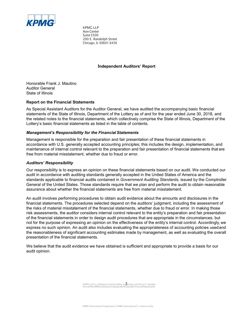

KPMG LLP Aon Center Suite 5500 200 E. Randolph Street Chicago, IL 60601-6436

# **Independent Auditors' Report**

Honorable Frank J. Mautino Auditor General State of Illinois

# **Report on the Financial Statements**

As Special Assistant Auditors for the Auditor General, we have audited the accompanying basic financial statements of the State of Illinois, Department of the Lottery as of and for the year ended June 30, 2018, and the related notes to the financial statements, which collectively comprise the State of Illinois, Department of the Lottery's basic financial statements as listed in the table of contents.

# *Management's Responsibility for the Financial Statements*

Management is responsible for the preparation and fair presentation of these financial statements in accordance with U.S. generally accepted accounting principles; this includes the design, implementation, and maintenance of internal control relevant to the preparation and fair presentation of financial statements that are free from material misstatement, whether due to fraud or error.

# *Auditors' Responsibility*

Our responsibility is to express an opinion on these financial statements based on our audit. We conducted our audit in accordance with auditing standards generally accepted in the United States of America and the standards applicable to financial audits contained in *Government Auditing Standards*, issued by the Comptroller General of the United States. Those standards require that we plan and perform the audit to obtain reasonable assurance about whether the financial statements are free from material misstatement.

An audit involves performing procedures to obtain audit evidence about the amounts and disclosures in the financial statements. The procedures selected depend on the auditors' judgment, including the assessment of the risks of material misstatement of the financial statements, whether due to fraud or error. In making those risk assessments, the auditor considers internal control relevant to the entity's preparation and fair presentation of the financial statements in order to design audit procedures that are appropriate in the circumstances, but not for the purpose of expressing an opinion on the effectiveness of the entity's internal control. Accordingly,we express no such opinion. An audit also includes evaluating the appropriateness of accounting policies usedand the reasonableness of significant accounting estimates made by management, as well as evaluating the overall presentation of the financial statements.

We believe that the audit evidence we have obtained is sufficient and appropriate to provide a basis for our audit opinion.

KPMG LLP is a Delaware limited liability pa $\widehat{\mathcal{O}}$ nership and the U.S. member<br>firm of the KPMG network of independent member firms affiliated with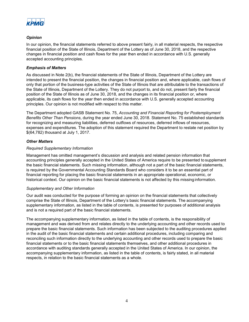

# *Opinion*

In our opinion, the financial statements referred to above present fairly, in all material respects, the respective financial position of the State of Illinois, Department of the Lottery as of June 30, 2018, and the respective changes in financial position and cash flows for the year then ended in accordance with U.S. generally accepted accounting principles.

# *Emphasis of Matters*

As discussed in Note 2(b), the financial statements of the State of Illinois, Department of the Lottery are intended to present the financial position, the changes in financial position and, where applicable, cash flows of only that portion of the business-type activities of the State of Illinois that are attributable to the transactions of the State of Illinois, Department of the Lottery. They do not purport to, and do not, present fairly the financial position of the State of Illinois as of June 30, 2018, and the changes in its financial position or, where applicable, its cash flows for the year then ended in accordance with U.S. generally accepted accounting principles. Our opinion is not modified with respect to this matter.

The Department adopted GASB Statement No. 75, *Accounting and Financial Reporting for Postemployment Benefits Other Than Pensions*, during the year ended June 30, 2018. Statement No. 75 established standards for recognizing and measuring liabilities, deferred outflows of resources, deferred inflows of resources, expenses and expenditures. The adoption of this statement required the Department to restate net position by \$(64,782) thousand at July 1, 2017.

# *Other Matters*

# *Required Supplementary Information*

Management has omitted management's discussion and analysis and related pension information that accounting principles generally accepted in the United States of America require to be presented to supplement the basic financial statements. Such missing information, although not a part of the basic financial statements, is required by the Governmental Accounting Standards Board who considers it to be an essential part of financial reporting for placing the basic financial statements in an appropriate operational, economic, or historical context. Our opinion on the basic financial statements is not affected by this missing information.

# *Supplementary and Other Information*

Our audit was conducted for the purpose of forming an opinion on the financial statements that collectively comprise the State of Illinois, Department of the Lottery's basic financial statements. The accompanying supplementary information*,* as listed in the table of contents, is presented for purposes of additional analysis and is not a required part of the basic financial statements.

The accompanying supplementary information, as listed in the table of contents, is the responsibility of management and was derived from and relates directly to the underlying accounting and other records used to prepare the basic financial statements. Such information has been subjected to the auditing procedures applied in the audit of the basic financial statements and certain additional procedures, including comparing and reconciling such information directly to the underlying accounting and other records used to prepare the basic financial statements or to the basic financial statements themselves, and other additional procedures in accordance with auditing standards generally accepted in the United States of America. In our opinion, the accompanying supplementary information, as listed in the table of contents, is fairly stated, in all material respects, in relation to the basic financial statements as a whole.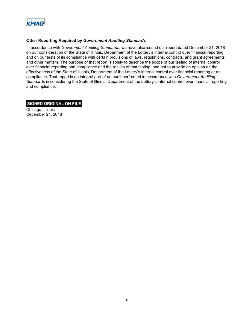

# **Other Reporting Required by** *Government Auditing Standards*

In accordance with *Government Auditing Standards*, we have also issued our report dated December 21, 2018 on our consideration of the State of Illinois, Department of the Lottery's internal control over financial reporting and on our tests of its compliance with certain provisions of laws, regulations, contracts, and grant agreements and other matters. The purpose of that report is solely to describe the scope of our testing of internal control over financial reporting and compliance and the results of that testing, and not to provide an opinion on the effectiveness of the State of Illinois, Department of the Lottery's internal control over financial reporting or on compliance. That report is an integral part of an audit performed in accordance with *Government Auditing Standards* in considering the State of Illinois, Department of the Lottery's internal control over financial reporting and compliance.

**SIGNED ORIGINAL ON FILE** 

Chicago, Illinois December 21, 2018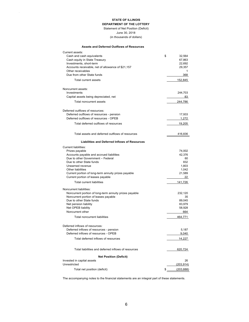#### **STATE OF ILLINOIS DEPARTMENT OF THE LOTTERY** Statement of Net Position (Deficit) June 30, 2018 (in thousands of dollars)

#### **Assets and Deferred Outflows of Resources**

S

| Current assets:                                        |     |            |
|--------------------------------------------------------|-----|------------|
| Cash and cash equivalents                              | \$  | 32,564     |
| Cash equity in State Treasury                          |     | 67,863     |
| Investments, short-term                                |     | 22,692     |
| Accounts receivable, net of allowance of \$21,157      |     | 29,357     |
| Other receivables                                      |     | 1          |
| Due from other State funds                             |     | 368        |
| Total current assets                                   |     | 152,845    |
|                                                        |     |            |
| Noncurrent assets:                                     |     |            |
| Investments                                            |     | 244,703    |
| Capital assets being depreciated, net                  |     | 83         |
| Total noncurrent assets                                |     | 244,786    |
| Deferred outflows of resources:                        |     |            |
| Deferred outflows of resources - pension               |     | 17,933     |
| Deferred outflows of resources - OPEB                  |     | 1,272      |
| Total deferred outflows of resources                   |     | 19,205     |
|                                                        |     |            |
| Total assets and deferred outflows of resources        |     | 416,836    |
| <b>Liabilities and Deferred Inflows of Resources</b>   |     |            |
| Current liabilities:                                   |     |            |
| Prizes payable                                         |     | 74,002     |
| Accounts payable and accrued liabilities               |     | 42,376     |
| Due to other Government - Federal                      |     | 60         |
| Due to other State funds                               |     | 832        |
| Unearned revenue                                       |     | 1,803      |
| Other liabilities                                      |     | 1,042      |
| Current portion of long-term annuity prizes payable    |     | 21,589     |
| Current portion of leases payable                      |     | 22         |
| <b>Total current liabilities</b>                       |     | 141,726    |
| Noncurrent liabilities:                                |     |            |
| Noncurrent portion of long-term annuity prizes payable |     | 232,120    |
| Noncurrent portion of leases payable                   |     | 35         |
| Due to other State funds                               |     | 89,045     |
| Net pension liability                                  |     | 83,979     |
| Net OPEB liability                                     |     | 58,928     |
| Noncurrent other                                       |     | 664        |
| <b>Total noncurrent liabilities</b>                    |     | 464,771    |
| Deferred inflows of resources:                         |     |            |
| Deferred inflows of resources - pension                |     | 5,187      |
| Deferred inflows of resources - OPEB                   |     | 9,040      |
| Total deferred inflows of resources                    |     | 14,227     |
|                                                        |     |            |
| Total liabilities and deferred inflows of resources    |     | 620,724    |
| <b>Net Position (Deficit)</b>                          |     |            |
| Invested in capital assets                             |     | 26         |
| Unrestricted                                           |     | (203, 914) |
| Total net position (deficit)                           | \$. | (203, 888) |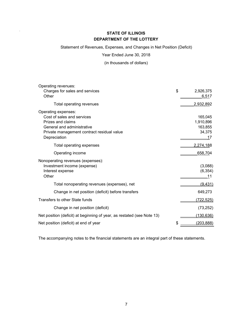kkkkk

Statement of Revenues, Expenses, and Changes in Net Position (Deficit)

Year Ended June 30, 2018

(in thousands of dollars)

| Operating revenues:                                                    |                  |
|------------------------------------------------------------------------|------------------|
| \$<br>Charges for sales and services                                   | 2,926,375        |
| Other                                                                  | 6,517            |
| Total operating revenues                                               | 2,932,892        |
| Operating expenses:                                                    |                  |
| Cost of sales and services                                             | 165,045          |
| Prizes and claims                                                      | 1,910,896        |
| General and administrative                                             | 163,855          |
| Private management contract residual value                             | 34,375           |
| Depreciation                                                           | 17               |
| Total operating expenses                                               | 2,274,188        |
| Operating income                                                       | 658,704          |
| Nonoperating revenues (expenses):                                      |                  |
| Investment income (expense)                                            | (3,088)          |
| Interest expense                                                       | (6, 354)         |
| Other                                                                  |                  |
| Total nonoperating revenues (expenses), net                            | (9, 431)         |
| Change in net position (deficit) before transfers                      | 649,273          |
| Transfers to other State funds                                         | <u>(722,525)</u> |
| Change in net position (deficit)                                       | (73, 252)        |
| Net position (deficit) at beginning of year, as restated (see Note 13) | <u>(130,636)</u> |
| \$<br>Net position (deficit) at end of year                            | (203, 888)       |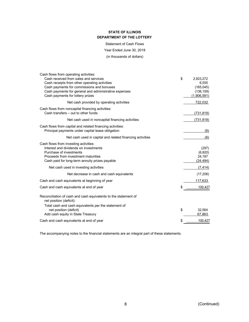Statement of Cash Flows

Year Ended June 30, 2018

(in thousands of dollars)

| Cash flows from operating activities:                           |                 |
|-----------------------------------------------------------------|-----------------|
| Cash received from sales and services                           | \$<br>2,923,272 |
| Cash receipts from other operating activities                   | 6,555           |
| Cash payments for commissions and bonuses                       | (165, 045)      |
| Cash payments for general and administrative expenses           | (136, 159)      |
| Cash payments for lottery prizes                                | (1,906,591)     |
| Net cash provided by operating activities                       | 722,032         |
| Cash flows from noncapital financing activities:                |                 |
| Cash transfers - out to other funds                             | (731, 818)      |
| Net cash used in noncapital financing activities                | (731, 818)      |
| Cash flows from capital and related financing activities:       |                 |
| Principal payments under capital lease obligation               | (6)             |
| Net cash used in capital and related financing activities       | (6)             |
| Cash flows from investing activities:                           |                 |
| Interest and dividends on investments                           | (297)           |
| Purchase of investments                                         | (6,820)         |
| Proceeds from investment maturities                             | 24,197          |
| Cash paid for long-term annuity prizes payable                  | (24, 494)       |
| Net cash used in investing activities                           | (7, 414)        |
| Net decrease in cash and cash equivalents                       | (17, 206)       |
| Cash and cash equivalents at beginning of year                  | 117,633         |
| Cash and cash equivalents at end of year                        | \$<br>100,427   |
| Reconciliation of cash and cash equivalents to the statement of |                 |
| net position (deficit):                                         |                 |
| Total cash and cash equivalents per the statement of            |                 |
| net position (deficit)                                          | \$<br>32,564    |
| Add cash equity in State Treasury                               | 67,863          |
| Cash and cash equivalents at end of year                        | \$<br>100,427   |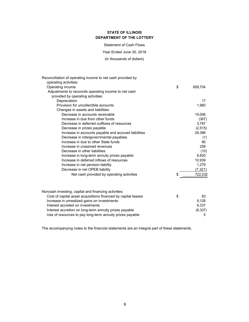Statement of Cash Flows

Year Ended June 30, 2018

(in thousands of dollars)

| Reconciliation of operating income to net cash provided by    |               |
|---------------------------------------------------------------|---------------|
| operating activities:                                         |               |
| Operating income                                              | \$<br>658,704 |
| Adjustments to reconcile operating income to net cash         |               |
| provided by operating activities:                             |               |
| Depreciation                                                  | 17            |
| Provision for uncollectible accounts                          | 1,960         |
| Changes in assets and liabilities:                            |               |
| Decrease in accounts receivable                               | 19,006        |
| Increase in due from other funds                              | (367)         |
| Decrease in deferred outflows of resources                    | 3,787         |
| Decrease in prizes payable                                    | (2, 515)      |
| Increase in accounts payable and accrued liabilities          | 29.396        |
| Decrease in intergovernmental payables                        | (1)           |
| Increase in due to other State funds                          | 80            |
| Increase in unearned revenues                                 | 258           |
| Decrease in other liabilities                                 | (10)          |
| Increase in long-term annuity prizes payable                  | 6,820         |
| Increase in deferred inflows of resources                     | 10,939        |
| Increase in net pension liability                             | 1,279         |
| Decrease in net OPEB liability                                | (7, 321)      |
| Net cash provided by operating activities                     | \$<br>722,032 |
| Noncash investing, capital and financing activities:          |               |
| Cost of capital asset acquisitions financed by capital leases | \$<br>63      |
| Increase in unrealized gains on investments                   | 9,128         |
| Interest accreted on investments                              | 6,337         |
| Interest accretion on long-term annuity prizes payable        | (6, 337)      |
| Use of resources to pay long-term annuity prizes payable      | 5             |
|                                                               |               |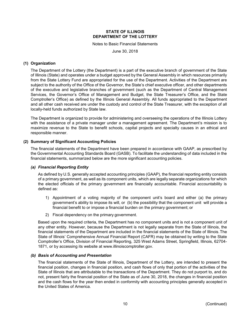Notes to Basic Financial Statements

June 30, 2018

# **(1) Organization**

The Department of the Lottery (the Department) is a part of the executive branch of government of the State of Illinois (State) and operates under a budget approved by the General Assembly in which resources primarily from the State Lottery Fund are appropriated for the use of the Department. Activities of the Department are subject to the authority of the Office of the Governor, the State's chief executive officer, and other departments of the executive and legislative branches of government (such as the Department of Central Management Services, the Governor's Office of Management and Budget, the State Treasurer's Office, and the State Comptroller's Office) as defined by the Illinois General Assembly. All funds appropriated to the Department and all other cash received are under the custody and control of the State Treasurer, with the exception of all locally-held funds authorized by State law.

The Department is organized to provide for administering and overseeing the operations of the Illinois Lottery with the assistance of a private manager under a management agreement. The Department's mission is to maximize revenue to the State to benefit schools, capital projects and specialty causes in an ethical and responsible manner.

# **(2) Summary of Significant Accounting Policies**

The financial statements of the Department have been prepared in accordance with GAAP, as prescribed by the Governmental Accounting Standards Board (GASB). To facilitate the understanding of data included in the financial statements, summarized below are the more significant accounting policies.

# *(a) Financial Reporting Entity*

As defined by U.S. generally accepted accounting principles (GAAP), the financial reporting entity consists of a primary government, as well as its component units, which are legally separate organizations for which the elected officials of the primary government are financially accountable. Financial accountability is defined as:

- 1) Appointment of a voting majority of the component unit's board and either (a) the primary government's ability to impose its will, or (b) the possibility that the component unit will provide a financial benefit to or impose a financial burden on the primary government; or
- 2) Fiscal dependency on the primary government.

Based upon the required criteria, the Department has no component units and is not a component unit of any other entity. However, because the Department is not legally separate from the State of Illinois, the financial statements of the Department are included in the financial statements of the State of Illinois.The State of Illinois' Comprehensive Annual Financial Report (CAFR) may be obtained by writing to the State Comptroller's Office, Division of Financial Reporting, 325 West Adams Street, Springfield, Illinois, 62704- 1871, or by accessing its website at [www.illinoiscomptroller.gov.](http://www.illinoiscomptroller.gov/)

# *(b) Basis of Accounting and Presentation*

The financial statements of the State of Illinois, Department of the Lottery, are intended to present the financial position, changes in financial position, and cash flows of only that portion of the activities of the State of Illinois that are attributable to the transactions of the Department. They do not purport to, and do not, present fairly the financial position of the State as of June 30, 2018, the changes in financial position and the cash flows for the year then ended in conformity with accounting principles generally accepted in the United States of America.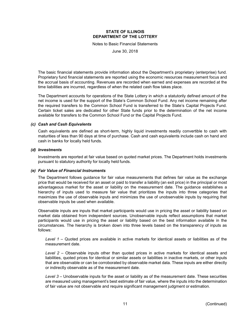Notes to Basic Financial Statements

June 30, 2018

The basic financial statements provide information about the Department's proprietary (enterprise) fund. Proprietary fund financial statements are reported using the economic resources measurement focus and the accrual basis of accounting. Revenues are recorded when earned and expenses are recorded at the time liabilities are incurred, regardless of when the related cash flow takes place.

The Department accounts for operations of the State Lottery in which a statutorily defined amount of the net income is used for the support of the State's Common School Fund. Any net income remaining after the required transfers to the Common School Fund is transferred to the State's Capital Projects Fund. Certain ticket sales are dedicated for other State funds prior to the determination of the net income available for transfers to the Common School Fund or the Capital Projects Fund.

#### *(c) Cash and Cash Equivalents*

Cash equivalents are defined as short-term, highly liquid investments readily convertible to cash with maturities of less than 90 days at time of purchase. Cash and cash equivalents include cash on hand and cash in banks for locally held funds.

#### *(d) Investments*

Investments are reported at fair value based on quoted market prices. The Department holds investments pursuant to statutory authority for locally held funds.

#### *(e) Fair Value of Financial Instruments*

The Department follows guidance for fair value measurements that defines fair value as the exchange price that would be received for an asset or paid to transfer a liability (an exit price) in the principal or most advantageous market for the asset or liability on the measurement date. The guidance establishes a hierarchy of inputs used to measure fair value that prioritizes the inputs into three categories that maximizes the use of observable inputs and minimizes the use of unobservable inputs by requiring that observable inputs be used when available.

Observable inputs are inputs that market participants would use in pricing the asset or liability based on market data obtained from independent sources. Unobservable inputs reflect assumptions that market participants would use in pricing the asset or liability based on the best information available in the circumstances. The hierarchy is broken down into three levels based on the transparency of inputs as follows:

*Level 1 –* Quoted prices are available in active markets for identical assets or liabilities as of the measurement date.

*Level 2 –* Observable inputs other than quoted prices in active markets for identical assets and liabilities, quoted prices for identical or similar assets or liabilities in inactive markets, or other inputs that are observable or can be corroborated by observable market data. These inputs are either directly or indirectly observable as of the measurement date.

*Level 3* – Unobservable inputs for the asset or liability as of the measurement date. These securities are measured using management's best estimate of fair value, where the inputs into the determination of fair value are not observable and require significant management judgment or estimation.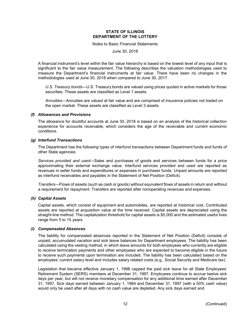Notes to Basic Financial Statements

June 30, 2018

A financial instrument's level within the fair value hierarchy is based on the lowest level of any input that is significant to the fair value measurement. The following describes the valuation methodologies used to measure the Department's financial instruments at fair value. There have been no changes in the methodologies used at June 30, 2018 when compared to June 30, 2017.

*U.S. Treasury bonds*—U.S. Treasury bonds are valued using prices quoted in active markets for those securities. These assets are classified as Level 1 assets.

*Annuities*—Annuities are valued at fair value and are comprised of insurance policies not traded on the open market. These assets are classified as Level 3 assets.

#### *(f) Allowances and Provisions*

The allowance for doubtful accounts at June 30, 2018 is based on an analysis of the historical collection experience for accounts receivable, which considers the age of the receivable and current economic conditions.

#### *(g) Interfund Transactions*

The Department has the following types of interfund transactions between Department funds and funds of other State agencies:

*Services provided and used*—Sales and purchases of goods and services between funds for a price approximating their external exchange value. Interfund services provided and used are reported as revenues in seller funds and expenditures or expenses in purchaser funds. Unpaid amounts are reported as interfund receivables and payables in the Statement of Net Position (Deficit).

*Transfers*—Flows of assets (such as cash or goods) without equivalent flows of assets in return and without a requirement for repayment. Transfers are reported after nonoperating revenues and expenses.

# *(h) Capital Assets*

Capital assets, which consist of equipment and automobiles, are reported at historical cost. Contributed assets are reported at acquisition value at the time received. Capital assets are depreciated using the straight-line method. The capitalization threshold for capital assets is \$5,000 and the estimated useful lives range from 5 to 15 years.

#### *(i) Compensated Absences*

The liability for compensated absences reported in the Statement of Net Position (Deficit) consists of unpaid, accumulated vacation and sick leave balances for Department employees. The liability has been calculated using the vesting method, in which leave amounts for both employees who currently are eligible to receive termination payments and other employees who are expected to become eligible in the future to receive such payments upon termination are included. The liability has been calculated based on the employees' current salary level and includes salary related costs (e.g., Social Security and Medicare tax).

Legislation that became effective January 1, 1998 capped the paid sick leave for all State Employees' Retirement System (SERS) members at December 31, 1997. Employees continue to accrue twelve sick days per year, but will not receive monetary compensation for any additional time earned after December 31, 1997. Sick days earned between January 1, 1984 and December 31, 1997 (with a 50% cash value) would only be used after all days with no cash value are depleted. Any sick days earned and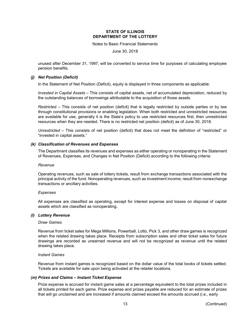#### Notes to Basic Financial Statements

June 30, 2018

unused after December 31, 1997, will be converted to service time for purposes of calculating employee pension benefits.

# *(j) Net Position (Deficit)*

In the Statement of Net Position (Deficit), equity is displayed in three components as applicable:

*Invested in Capital Assets* – This consists of capital assets, net of accumulated depreciation, reduced by the outstanding balances of borrowings attributable to the acquisition of those assets.

*Restricted* – This consists of net position (deficit) that is legally restricted by outside parties or by law through constitutional provisions or enabling legislation. When both restricted and unrestricted resources are available for use, generally it is the State's policy to use restricted resources first, then unrestricted resources when they are needed. There is no restricted net position (deficit) as of June 30, 2018.

*Unrestricted* – This consists of net position (deficit) that does not meet the definition of "restricted" or "invested in capital assets."

# *(k) Classification of Revenues and Expenses*

The Department classifies its revenues and expenses as either operating or nonoperating in the Statement of Revenues, Expenses, and Changes in Net Position (Deficit) according to the following criteria:

#### *Revenue*

Operating revenues, such as sale of lottery tickets, result from exchange transactions associated with the principal activity of the fund. Nonoperating revenues, such as investment income, result from nonexchange transactions or ancillary activities.

#### *Expenses*

All expenses are classified as operating, except for interest expense and losses on disposal of capital assets which are classified as nonoperating.

# *(l) Lottery Revenue*

#### *Draw Games*

Revenue from ticket sales for Mega Millions, Powerball, Lotto, Pick 3, and other draw games is recognized when the related drawing takes place. Receipts from subscription sales and other ticket sales for future drawings are recorded as unearned revenue and will not be recognized as revenue until the related drawing takes place.

#### *Instant Games*

Revenue from instant games is recognized based on the dollar value of the total books of tickets settled. Tickets are available for sale upon being activated at the retailer locations.

# *(m) Prizes and Claims – Instant Ticket Expense*

Prize expense is accrued for instant game sales at a percentage equivalent to the total prizes included in all tickets printed for each game. Prize expense and prizes payable are reduced for an estimate of prizes that will go unclaimed and are increased if amounts claimed exceed the amounts accrued (i.e., early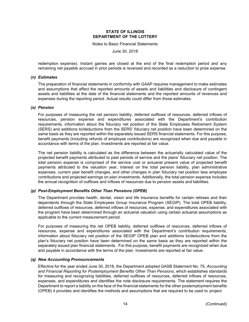Notes to Basic Financial Statements

June 30, 2018

redemption expense). Instant games are closed at the end of the final redemption period and any remaining net payable accrued in prior periods is reversed and recorded as a reduction to prize expense.

#### *(n) Estimates*

The preparation of financial statements in conformity with GAAP requires management to make estimates and assumptions that affect the reported amounts of assets and liabilities and disclosure of contingent assets and liabilities at the date of the financial statements and the reported amounts of revenues and expenses during the reporting period. Actual results could differ from those estimates.

#### *(o) Pension*

For purposes of measuring the net pension liability, deferred outflows of resources, deferred inflows of resources, pension expense and expenditures associated with the Department's contribution requirements, information about the fiduciary net position of the State Employees Retirement System (SERS) and additions to/deductions from the SERS' fiduciary net position have been determined on the same basis as they are reported within the separately issued SERS financial statements. For this purpose, benefit payments (including refunds of employee contributions) are recognized when due and payable in accordance with terms of the plan. Investments are reported at fair value.

The net pension liability is calculated as the difference between the actuarially calculated value of the projected benefit payments attributed to past periods of service and the plans' fiduciary net position. The total pension expense is comprised of the service cost or actuarial present value of projected benefit payments attributed to the valuation year, interest on the total pension liability, plan administrative expenses, current year benefit changes, and other changes in plan fiduciary net position less employee contributions and projected earnings on plan investments. Additionally, the total pension expense includes the annual recognition of outflows and inflows of resources due to pension assets and liabilities.

# *(p) Post-Employment Benefits Other Than Pensions (OPEB)*

The Department provides health, dental, vision and life insurance benefits for certain retirees and their dependents through the State Employees Group Insurance Program (SEGIP). The total OPEB liability, deferred outflows of resources, deferred inflows of resources, expense, and expenditures associated with the program have been determined through an actuarial valuation using certain actuarial assumptions as applicable to the current measurement period.

For purposes of measuring the net OPEB liability, deferred outflows of resources, deferred inflows of resources, expense and expenditures associated with the Department's contribution requirements, information about fiduciary net position of the SEGIP OPEB plan and additions to/deductions from the plan's fiduciary net position have been determined on the same basis as they are reported within the separately issued plan financial statements. For this purpose, benefit payments are recognized when due and payable in accordance with the terms of the plan. Investments are reported at fair value.

#### *(q) New Accounting Pronouncements*

Effective for the year ended June 30, 2018, the Department adopted GASB Statement No. 75, *Accounting and Financial Reporting for Postemployment Benefits Other Than Pensions*, which establishes standards for measuring and recognizing liabilities, deferred outflows of resources, deferred inflows of resources, expenses, and expenditures and identifies the note disclosure requirements. The statement requires the Department to report a liability on the face of the financial statements for the other postemployment benefits (OPEB) it provides and identifies the methods and assumptions that are required to be used to project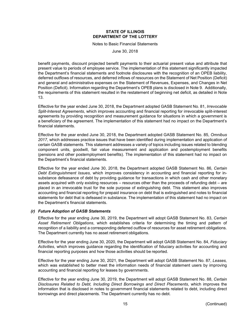Notes to Basic Financial Statements

June 30, 2018

benefit payments, discount projected benefit payments to their actuarial present value and attribute that present value to periods of employee service. The implementation of this statement significantly impacted the Department's financial statements and footnote disclosures with the recognition of an OPEB liability, deferred outflows of resources, and deferred inflows of resources on the Statement of Net Position (Deficit) and general and administrative expenses on the Statement of Revenues, Expenses, and Changes in Net Position (Deficit). Information regarding the Department's OPEB plans is disclosed in Note 9. Additionally, the requirements of this statement resulted in the restatement of beginning net deficit, as detailed in Note 13.

Effective for the year ended June 30, 2018, the Department adopted GASB Statement No. 81, *Irrevocable Split-Interest Agreements*, which improves accounting and financial reporting for irrevocable split-interest agreements by providing recognition and measurement guidance for situations in which a government is a beneficiary of the agreement. The implementation of this statement had no impact on the Department's financial statements.

Effective for the year ended June 30, 2018, the Department adopted GASB Statement No. 85, *Omnibus 2017*, which addresses practice issues that have been identified during implementation and application of certain GASB statements. This statement addresses a variety of topics including issues related to blending component units, goodwill, fair value measurement and application and postemployment benefits (pensions and other postemployment benefits). The implementation of this statement had no impact on the Department's financial statements.

Effective for the year ended June 30, 2018, the Department adopted GASB Statement No. 86, *Certain Debt Extinguishment Issues,* which improves consistency in accounting and financial reporting for insubstance defeasance of debt by providing guidance for transactions in which cash and other monetary assets acquired with only existing resources – resources other than the proceeds of refunding debt – are placed in an irrevocable trust for the sole purpose of extinguishing debt. This statement also improves accounting and financial reporting for prepaid insurance on debt that is extinguished and notes to financial statements for debt that is defeased in substance. The implementation of this statement had no impact on the Department's financial statements.

# *(r) Future Adoption of GASB Statements*

Effective for the year ending June 30, 2019, the Department will adopt GASB Statement No. 83, *Certain Asset Retirement Obligations*, which establishes criteria for determining the timing and pattern of recognition of a liability and a corresponding deferred outflow of resources for asset retirement obligations. The Department currently has no asset retirement obligations.

Effective for the year ending June 30, 2020, the Department will adopt GASB Statement No. 84, *Fiduciary Activities*, which improves guidance regarding the identification of fiduciary activities for accounting and financial reporting purposes and how those activities should be reported.

Effective for the year ending June 30, 2021, the Department will adopt GASB Statement No. 87, *Leases,*  which was established to better meet the information needs of financial statement users by improving accounting and financial reporting for leases by governments.

Effective for the year ending June 30, 2019, the Department will adopt GASB Statement No. 88, *Certain Disclosures Related to Debt, Including Direct Borrowings and Direct Placements*, which improves the information that is disclosed in notes to government financial statements related to debt, including direct borrowings and direct placements. The Department currently has no debt.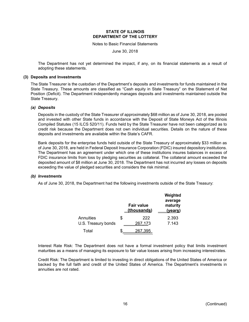Notes to Basic Financial Statements

June 30, 2018

The Department has not yet determined the impact, if any, on its financial statements as a result of adopting these statements.

#### **(3) Deposits and Investments**

The State Treasurer is the custodian of the Department's deposits and investments for funds maintained in the State Treasury. These amounts are classified as "Cash equity in State Treasury" on the Statement of Net Position (Deficit). The Department independently manages deposits and investments maintained outside the State Treasury.

#### *(a) Deposits*

Deposits in the custody of the State Treasurer of approximately \$68 million as of June 30, 2018, are pooled and invested with other State funds in accordance with the Deposit of State Moneys Act of the Illinois Compiled Statutes (15 ILCS 520/11). Funds held by the State Treasurer have not been categorized as to credit risk because the Department does not own individual securities. Details on the nature of these deposits and investments are available within the State's CAFR.

Bank deposits for the enterprise funds held outside of the State Treasury of approximately \$33 million as of June 30, 2018, are held in Federal Deposit Insurance Corporation (FDIC) insured depository institutions. The Department has an agreement under which one of these institutions insures balances in excess of FDIC insurance limits from loss by pledging securities as collateral. The collateral amount exceeded the deposited amount of \$8 million at June 30, 2018. The Department has not incurred any losses on deposits exceeding the value of pledged securities and considers the risk minimal.

# *(b) Investments*

As of June 30, 2018, the Department had the following investments outside of the State Treasury:

|                                  | <b>Fair value</b><br>(thousands) | Weighted<br>average<br>maturity<br>(vears) |
|----------------------------------|----------------------------------|--------------------------------------------|
| Annuities<br>U.S. Treasury bonds | \$<br>222<br>267,173             | 2.393<br>7.143                             |
| Total                            | 267,395                          |                                            |

Interest Rate Risk: The Department does not have a formal investment policy that limits investment maturities as a means of managing its exposure to fair value losses arising from increasing interestrates.

Credit Risk: The Department is limited to investing in direct obligations of the United States of America or backed by the full faith and credit of the United States of America. The Department's investments in annuities are not rated.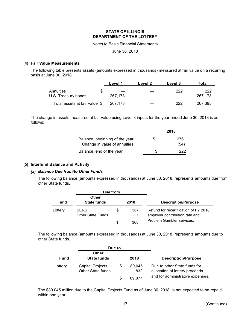Notes to Basic Financial Statements

June 30, 2018

#### **(4) Fair Value Measurements**

The following table presents assets (amounts expressed in thousands) measured at fair value on a recurring basis at June 30, 2018:

|                                  | Level 1       | Level 2 | Level 3 | Total          |
|----------------------------------|---------------|---------|---------|----------------|
| Annuities<br>U.S. Treasury bonds | ——<br>267.173 |         | 222     | 222<br>267.173 |
| Total assets at fair value \$    | 267.173       |         | 222     | 267,395        |

The change in assets measured at fair value using Level 3 inputs for the year ended June 30, 2018 is as follows:

|                                                                | 2018 |             |  |
|----------------------------------------------------------------|------|-------------|--|
| Balance, beginning of the year<br>Change in value of annuities | \$.  | 276<br>(54) |  |
| Balance, end of the year                                       | \$.  | フフフ         |  |

# **(5) Interfund Balance and Activity**

# *(a) Balance Due from/to Other Funds*

The following balance (amounts expressed in thousands) at June 30, 2018, represents amounts due from other State funds.

| Due from    |                                         |    |      |                                                                         |
|-------------|-----------------------------------------|----|------|-------------------------------------------------------------------------|
| <b>Fund</b> | Other<br><b>State funds</b>             |    | 2018 | <b>Description/Purpose</b>                                              |
| Lottery     | <b>SERS</b><br><b>Other State Funds</b> | S  | 367  | Refund for recertification of FY 2018<br>employer contribution rate and |
|             |                                         | \$ | 368  | Problem Gambler services.                                               |

The following balance (amounts expressed in thousands) at June 30, 2018, represents amounts due to other State funds.

|             | Due to                                |     |               |                                                                |
|-------------|---------------------------------------|-----|---------------|----------------------------------------------------------------|
|             | <b>Other</b>                          |     |               |                                                                |
| <b>Fund</b> | <b>State funds</b>                    |     | 2018          | <b>Description/Purpose</b>                                     |
| Lottery     | Capital Projects<br>Other State funds | \$. | 89.045<br>832 | Due to other State funds for<br>allocation of lottery proceeds |
|             |                                       | \$  | 89.877        | and for administrative expenses.                               |

The \$89.045 million due to the Capital Projects Fund as of June 30, 2018, is not expected to be repaid within one year.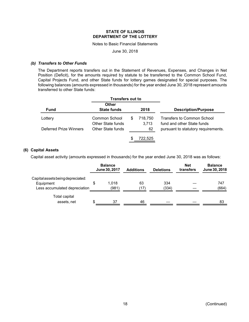#### Notes to Basic Financial Statements

June 30, 2018

# *(b) Transfers to Other Funds*

The Department reports transfers out in the Statement of Revenues, Expenses, and Changes in Net Position (Deficit), for the amounts required by statute to be transferred to the Common School Fund, Capital Projects Fund, and other State funds for lottery games designated for special purposes. The following balances (amounts expressed in thousands) for the year ended June 30, 2018 represent amounts transferred to other State funds:

|                        | <b>Transfers out to</b>            |   |                  |                                                          |
|------------------------|------------------------------------|---|------------------|----------------------------------------------------------|
| <b>Fund</b>            | <b>Other</b><br><b>State funds</b> |   | 2018             | <b>Description/Purpose</b>                               |
| Lottery                | Common School<br>Other State funds | S | 718,750<br>3.713 | Transfers to Common School<br>fund and other State funds |
| Deferred Prize Winners | Other State funds                  |   | 62               | pursuant to statutory requirements.                      |
|                        |                                    |   | 722,525          |                                                          |

# **(6) Capital Assets**

Capital asset activity (amounts expressed in thousands) for the year ended June 30, 2018 was as follows:

|    | <b>Additions</b>                                  | <b>Deletions</b> | <b>Net</b><br>transfers | <b>Balance</b><br>June 30, 2018 |
|----|---------------------------------------------------|------------------|-------------------------|---------------------------------|
|    |                                                   |                  |                         |                                 |
|    |                                                   |                  |                         | 747                             |
|    |                                                   |                  |                         | (664)                           |
|    |                                                   |                  |                         |                                 |
| 37 | 46                                                |                  |                         | 83                              |
| S  | <b>Balance</b><br>June 30, 2017<br>1,018<br>(981) | 63<br>(17)       | 334<br>(334)            |                                 |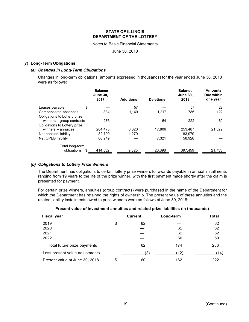Notes to Basic Financial Statements

June 30, 2018

# **(7) Long-Term Obligations**

# *(a) Changes in Long-Term Obligations*

Changes in long-term obligations (amounts expressed in thousands) for the year ended June 30, 2018 were as follows:

|                              | <b>Balance</b><br><b>June 30,</b><br>2017 | <b>Additions</b> | <b>Deletions</b> | <b>Balance</b><br><b>June 30,</b><br>2018 | <b>Amounts</b><br>Due within<br>one year |
|------------------------------|-------------------------------------------|------------------|------------------|-------------------------------------------|------------------------------------------|
| Leases payable               | \$                                        | 57               |                  | 57                                        | 22                                       |
| Compensated absences         | 834                                       | 1.169            | 1.217            | 786                                       | 122                                      |
| Obligations to Lottery prize |                                           |                  |                  |                                           |                                          |
| winners $-$ group contracts  | 276                                       |                  | 54               | 222                                       | 60                                       |
| Obligations to Lottery prize |                                           |                  |                  |                                           |                                          |
| winners $-$ annuities        | 264.473                                   | 6.820            | 17,806           | 253.487                                   | 21.529                                   |
| Net pension liability        | 82,700                                    | 1,279            |                  | 83.979                                    |                                          |
| Net OPEB liability           | 66,249                                    |                  | 7,321            | 58,928                                    |                                          |
| Total long-term              |                                           |                  |                  |                                           |                                          |
| obligations                  | 414,532                                   | 9,325            | 26,398           | 397,459                                   | 21,733                                   |

# *(b) Obligations to Lottery Prize Winners*

The Department has obligations to certain lottery prize winners for awards payable in annual installments ranging from 19 years to the life of the prize winner, with the first payment made shortly after the claim is presented for payment.

For certain prize winners, annuities (group contracts) were purchased in the name of the Department for which the Department has retained the rights of ownership. The present value of these annuities and the related liability installments owed to prize winners were as follows at June 30, 2018:

| <b>Fiscal year</b>             | <b>Current</b> | Long-term | Total |
|--------------------------------|----------------|-----------|-------|
| 2019                           | \$<br>62       |           | 62    |
| 2020                           |                | 62        | 62    |
| 2021                           |                | 62        | 62    |
| 2022                           |                | 50        | 50    |
| Total future prize payments    | 62             | 174       | 236   |
| Less present value adjustments | 2)             | (12)      | (14)  |
| Present value at June 30, 2018 | \$<br>60       | 162       | 222   |

**Present value of investment annuities and related prize liabilities (in thousands)**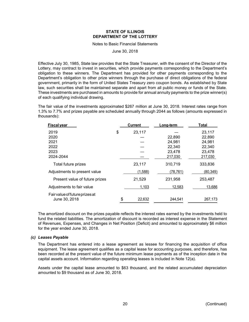#### Notes to Basic Financial Statements

June 30, 2018

Effective July 30, 1985, State law provides that the State Treasurer, with the consent of the Director of the Lottery, may contract to invest in securities, which provide payments corresponding to the Department's obligation to these winners. The Department has provided for other payments corresponding to the Department's obligation to other prize winners through the purchase of direct obligations of the federal government, primarily in the form of United States Treasury zero coupon bonds. As established by State law, such securities shall be maintained separate and apart from all public money or funds of the State. These investments are purchased in amounts to provide for annual annuity payments to the prize winner(s) of each qualifying individual drawing.

The fair value of the investments approximated \$267 million at June 30, 2018. Interest rates range from 1.3% to 7.7% and prizes payable are scheduled annually through 2044 as follows (amounts expressed in thousands):

| <b>Fiscal year</b>             | <b>Current</b> | Long-term | Total     |
|--------------------------------|----------------|-----------|-----------|
| 2019                           | \$<br>23,117   |           | 23,117    |
| 2020                           |                | 22,890    | 22,890    |
| 2021                           |                | 24.981    | 24,981    |
| 2022                           |                | 22,340    | 22,340    |
| 2023                           |                | 23,478    | 23,478    |
| 2024-2044                      |                | 217,030   | 217,030   |
| Total future prizes            | 23,117         | 310,719   | 333.836   |
| Adjustments to present value   | (1,588)        | (78,761)  | (80, 349) |
| Present value of future prizes | 21,529         | 231.958   | 253.487   |
| Adjustments to fair value      | 1,103          | 12,583    | 13,686    |
| Fair value of future prizes at |                |           |           |
| June 30, 2018                  | \$<br>22,632   | 244.541   | 267,173   |

The amortized discount on the prizes payable reflects the interest rates earned by the investments held to fund the related liabilities. The amortization of discount is recorded as interest expense in the Statement of Revenues, Expenses, and Changes in Net Position (Deficit) and amounted to approximately \$6 million for the year ended June 30, 2018.

# *(c) Leases Payable*

The Department has entered into a lease agreement as lessee for financing the acquisition of office equipment. The lease agreement qualifies as a capital lease for accounting purposes, and therefore, has been recorded at the present value of the future minimum lease payments as of the inception date in the capital assets account. Information regarding operating leases is included in Note 12(a).

Assets under the capital lease amounted to \$63 thousand, and the related accumulated depreciation amounted to \$9 thousand as of June 30, 2018.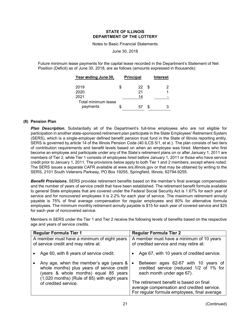Notes to Basic Financial Statements

June 30, 2018

Future minimum lease payments for the capital lease recorded in the Department's Statement of Net Position (Deficit) as of June 30, 2018, are as follows (amounts expressed in thousands):

| Year ending June 30, |   | <b>Principal</b> |   | <b>Interest</b> |
|----------------------|---|------------------|---|-----------------|
| 2019                 | S | 22               | S | 2               |
| 2020                 |   | 21               |   |                 |
| 2021                 |   | 14               |   |                 |
| Total minimum lease  |   |                  |   |                 |
| payments             |   | 57               |   |                 |

# **(8) Pension Plan**

*Plan Description***.** Substantially all of the Department's full-time employees who are not eligible for participation in another state-sponsored retirement plan participate in the State Employees' Retirement System (SERS), which is a single-employer defined benefit pension trust fund in the State of Illinois reporting entity. SERS is governed by article 14 of the Illinois Pension Code (40 ILCS 5/1, et al.). The plan consists of two tiers of contribution requirements and benefit levels based on when an employee was hired. Members who first become an employee and participate under any of the State's retirement plans on or after January 1, 2011 are members of Tier 2, while Tier 1 consists of employees hired before January 1, 2011 or those who have service credit prior to January 1, 2011. The provisions below apply to both Tier 1 and 2 members, except where noted. The SERS issues a separate CAFR available at [www.srs.illinois.gov o](http://www.srs.illinois.gov/)r that may be obtained by writing to the SERS, 2101 South Veterans Parkway, PO Box 19255, Springfield, Illinois, 62794-9255.

**Benefit Provisions.** SERS provides retirement benefits based on the member's final average compensation and the number of years of service credit that have been established. The retirement benefit formula available to general State employees that are covered under the Federal Social Security Act is 1.67% for each year of service and for noncovered employees it is 2.2% for each year of service. The maximum retirement annuity payable is 75% of final average compensation for regular employees and 80% for alternative formula employees. The minimum monthly retirement annuity payable is \$15 for each year of covered service and \$25 for each year of noncovered service.

Members in SERS under the Tier 1 and Tier 2 receive the following levels of benefits based on the respective age and years of service credits.

| <b>Regular Formula Tier 1</b>                                                                                                                                                                 | <b>Regular Formula Tier 2</b>                                                                                                          |
|-----------------------------------------------------------------------------------------------------------------------------------------------------------------------------------------------|----------------------------------------------------------------------------------------------------------------------------------------|
| A member must have a minimum of eight years<br>of service credit and may retire at:                                                                                                           | A member must have a minimum of 10 years<br>of credited service and may retire at:                                                     |
| Age 60, with 8 years of service credit.                                                                                                                                                       | Age 67, with 10 years of credited service.                                                                                             |
| Any age, when the member's age (years $\&$   $\bullet$<br>whole months) plus years of service credit<br>(years & whole months) equal 85 years<br>(1,020 months) (Rule of 85) with eight years | Between ages 62-67 with 10 years of<br>credited service (reduced 1/2 of 1% for<br>each month under age 67).                            |
| of credited service.                                                                                                                                                                          | The retirement benefit is based on final<br>average compensation and credited service.<br>For regular formula employees, final average |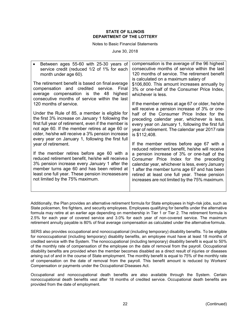#### Notes to Basic Financial Statements

June 30, 2018

| Between ages 55-60 with 25-30 years of<br>service credit (reduced 1/2 of 1% for each<br>month under age 60).<br>The retirement benefit is based on final average<br>compensation and credited service. Final<br>average compensation is the 48 highest<br>consecutive months of service within the last<br>120 months of service.<br>Under the Rule of 85, a member is eligible for<br>the first 3% increase on January 1 following the<br>first full year of retirement, even if the member is<br>not age 60. If the member retires at age 60 or<br>older, he/she will receive a 3% pension increase<br>every year on January 1, following the first full<br>year of retirement.<br>If the member retires before age 60 with a<br>reduced retirement benefit, he/she will receivea<br>3% pension increase every January 1 after the | compensation is the average of the 96 highest<br>consecutive months of service within the last<br>120 months of service. The retirement benefit<br>is calculated on a maximum salary of<br>\$106,800. This amount increases annually by<br>3% or one-half of the Consumer Price Index,<br>whichever is less.<br>If the member retires at age 67 or older, he/she<br>will receive a pension increase of 3% or one-<br>half of the Consumer Price Index for the<br>preceding calendar year, whichever is less,<br>every year on January 1, following the first full<br>year of retirement. The calendar year 2017 rate<br>is \$112,408.<br>If the member retires before age 67 with a<br>reduced retirement benefit, he/she will receive<br>a pension increase of 3% or one-half of the<br>Consumer Price Index for the preceding<br>calendar year, whichever is less, every January |
|--------------------------------------------------------------------------------------------------------------------------------------------------------------------------------------------------------------------------------------------------------------------------------------------------------------------------------------------------------------------------------------------------------------------------------------------------------------------------------------------------------------------------------------------------------------------------------------------------------------------------------------------------------------------------------------------------------------------------------------------------------------------------------------------------------------------------------------|------------------------------------------------------------------------------------------------------------------------------------------------------------------------------------------------------------------------------------------------------------------------------------------------------------------------------------------------------------------------------------------------------------------------------------------------------------------------------------------------------------------------------------------------------------------------------------------------------------------------------------------------------------------------------------------------------------------------------------------------------------------------------------------------------------------------------------------------------------------------------------|
| member turns age 60 and has been retired at                                                                                                                                                                                                                                                                                                                                                                                                                                                                                                                                                                                                                                                                                                                                                                                          | 1 after the member turns age 67 and has been                                                                                                                                                                                                                                                                                                                                                                                                                                                                                                                                                                                                                                                                                                                                                                                                                                       |
| least one full year. These pension increases are                                                                                                                                                                                                                                                                                                                                                                                                                                                                                                                                                                                                                                                                                                                                                                                     | retired at least one full year. These pension                                                                                                                                                                                                                                                                                                                                                                                                                                                                                                                                                                                                                                                                                                                                                                                                                                      |
| not limited by the 75% maximum.                                                                                                                                                                                                                                                                                                                                                                                                                                                                                                                                                                                                                                                                                                                                                                                                      | increases are not limited by the 75% maximum.                                                                                                                                                                                                                                                                                                                                                                                                                                                                                                                                                                                                                                                                                                                                                                                                                                      |

Additionally, the Plan provides an alternative retirement formula for State employees in high-risk jobs, such as State policemen, fire fighters, and security employees. Employees qualifying for benefits under the alternative formula may retire at an earlier age depending on membership in Tier 1 or Tier 2. The retirement formula is 2.5% for each year of covered service and 3.0% for each year of non-covered service. The maximum retirement annuity payable is 80% of final average compensation as calculated under the alternative formula.

SERS also provides occupational and nonoccupational (including temporary) disability benefits. To be eligible for nonoccupational (including temporary) disability benefits, an employee must have at least 18 months of credited service with the System. The nonoccupational (including temporary) disability benefit is equal to 50% of the monthly rate of compensation of the employee on the date of removal from the payroll. Occupational disability benefits are provided when the member becomes disabled as a direct result of injuries or diseases arising out of and in the course of State employment. The monthly benefit is equal to 75% of the monthly rate of compensation on the date of removal from the payroll. This benefit amount is reduced by Workers' Compensation or payments under the Occupational Diseases Act.

Occupational and nonoccupational death benefits are also available through the System. Certain nonoccupational death benefits vest after 18 months of credited service. Occupational death benefits are provided from the date of employment.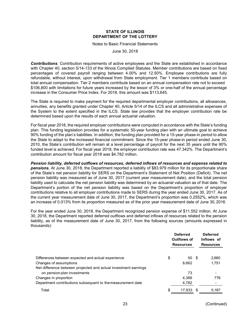#### Notes to Basic Financial Statements

June 30, 2018

*Contributions*. Contribution requirements of active employees and the State are established in accordance with Chapter 40, section 5/14-133 of the Illinois Compiled Statutes. Member contributions are based on fixed percentages of covered payroll ranging between 4.00% and 12.50%. Employee contributions are fully refundable, without interest, upon withdrawal from State employment. Tier 1 members contribute based on total annual compensation. Tier 2 members contribute based on an annual compensation rate not to exceed \$106,800 with limitations for future years increased by the lessor of 3% or one-half of the annual percentage increase in the Consumer Price Index. For 2018, this amount was \$113,645.

The State is required to make payment for the required departmental employer contributions, all allowances, annuities, any benefits granted under Chapter 40, Article 5/14 of the ILCS and all administrative expenses of the System to the extent specified in the ILCS. State law provides that the employer contribution rate be determined based upon the results of each annual actuarial valuation.

For fiscal year 2018, the required employer contributions were computed in accordance with the State's funding plan. This funding legislation provides for a systematic 50-year funding plan with an ultimate goal to achieve 90% funding of the plan's liabilities. In addition, the funding plan provided for a 15-year phase-in period to allow the State to adapt to the increased financial commitment. Since the 15-year phase-in period ended June 30, 2010, the State's contribution will remain at a level percentage of payroll for the next 35 years until the 90% funded level is achieved. For fiscal year 2018, the employer contribution rate was 47.342%. The Department's contribution amount for fiscal year 2018 was \$4.782 million.

*Pension liability, deferred outflows of resources, deferred inflows of resources and expense related to pensions.* At June 30, 2018, the Department reported a liability of \$83.979 million for its proportionate share of the State's net pension liability for SERS on the Department's Statement of Net Position (Deficit). The net pension liability was measured as of June 30, 2017 (current year measurement date), and the total pension liability used to calculate the net pension liability was determined by an actuarial valuation as of that date. The Department's portion of the net pension liability was based on the Department's proportion of employer contributions relative to all employer contributions made to SERS during the year ended June 30, 2017. As of the current year measurement date of June 30, 2017, the Department's proportion was 0.2552%, which was an increase of 0.013% from its proportion measured as of the prior year measurement date of June 30, 2016.

For the year ended June 30, 2018, the Department recognized pension expense of \$11.552 million. At June 30, 2018, the Department reported deferred outflows and deferred inflows of resources related to the pension liability, as of the measurement date of June 30, 2017, from the following sources (amounts expressed in thousands):

|                                                                 | <b>Deferred</b><br>Outflows of<br><b>Resources</b> | <b>Deferred</b><br>Inflows of<br><b>Resources</b> |
|-----------------------------------------------------------------|----------------------------------------------------|---------------------------------------------------|
| Differences between expected and actual experience              | \$<br>50S                                          | 2,660                                             |
| Changes of assumptions                                          | 8,662                                              | 1,751                                             |
| Net difference between projected and actual investment earnings |                                                    |                                                   |
| on pension plan investments                                     | 73                                                 |                                                   |
| Changes in proportion                                           | 4.366                                              | 776                                               |
| Department contributions subsequent to the measurement date     | 4,782                                              |                                                   |
| Total                                                           | \$<br>17.933                                       | 5.187                                             |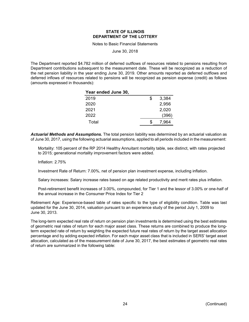Notes to Basic Financial Statements

June 30, 2018

The Department reported \$4.782 million of deferred outflows of resources related to pensions resulting from Department contributions subsequent to the measurement date. These will be recognized as a reduction of the net pension liability in the year ending June 30, 2019. Other amounts reported as deferred outflows and deferred inflows of resources related to pensions will be recognized as pension expense (credit) as follows (amounts expressed in thousands):

| Year ended June 30, |   |       |
|---------------------|---|-------|
| 2019                | S | 3,384 |
| 2020                |   | 2,956 |
| 2021                |   | 2,020 |
| 2022                |   | (396) |
| Total               | S | 7,964 |

*Actuarial Methods and Assumptions.* The total pension liability was determined by an actuarial valuation as of June 30, 2017, using the following actuarial assumptions, applied to all periods included in the measurement:

Mortality: 105 percent of the RP 2014 Healthy Annuitant mortality table, sex distinct, with rates projected to 2015; generational mortality improvement factors were added.

Inflation: 2.75%

Investment Rate of Return: 7.00%, net of pension plan investment expense, including inflation.

Salary increases: Salary increase rates based on age related productivity and merit rates plus inflation.

Post-retirement benefit increases of 3.00%, compounded, for Tier 1 and the lessor of 3.00% or one-half of the annual increase in the Consumer Price Index for Tier 2

Retirement Age: Experience-based table of rates specific to the type of eligibility condition. Table was last updated for the June 30, 2014, valuation pursuant to an experience study of the period July 1, 2009 to June 30, 2013.

The long-term expected real rate of return on pension plan investments is determined using the best estimates of geometric real rates of return for each major asset class. These returns are combined to produce the longterm expected rate of return by weighting the expected future real rates of return by the target asset allocation percentage and by adding expected inflation. For each major asset class that is included in SERS' target asset allocation, calculated as of the measurement date of June 30, 2017, the best estimates of geometric real rates of return are summarized in the following table: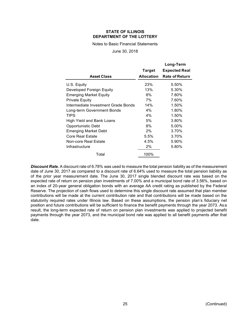Notes to Basic Financial Statements

June 30, 2018

|                                     |                   | Long-Term             |
|-------------------------------------|-------------------|-----------------------|
|                                     | <b>Target</b>     | <b>Expected Real</b>  |
| <b>Asset Class</b>                  | <b>Allocation</b> | <b>Rate of Return</b> |
| U.S. Equity                         | 23%               | 5.50%                 |
| Developed Foreign Equity            | 13%               | 5.30%                 |
| <b>Emerging Market Equity</b>       | 8%                | 7.80%                 |
| <b>Private Equity</b>               | 7%                | 7.60%                 |
| Intermediate Investment Grade Bonds | 14%               | 1.50%                 |
| Long-term Government Bonds          | 4%                | 1.80%                 |
| <b>TIPS</b>                         | 4%                | 1.50%                 |
| High Yield and Bank Loans           | 5%                | 3.80%                 |
| Opportunistic Debt                  | 8%                | 5.00%                 |
| Emerging Market Debt                | 2%                | 3.70%                 |
| Core Real Estate                    | 5.5%              | 3.70%                 |
| Non-core Real Estate                | 4.5%              | 5.90%                 |
| Infrastructure                      | 2%                | 5.80%                 |
| Total                               | 100%              |                       |

*Discount Rate.* A discount rate of 6.78% was used to measure the total pension liability as of the measurement date of June 30, 2017 as compared to a discount rate of 6.64% used to measure the total pension liability as of the prior year measurement date. The June 30, 2017 single blended discount rate was based on the expected rate of return on pension plan investments of 7.00% and a municipal bond rate of 3.56%, based on an index of 20-year general obligation bonds with an average AA credit rating as published by the Federal Reserve. The projection of cash flows used to determine this single discount rate assumed that plan member contributions will be made at the current contribution rate and that contributions will be made based on the statutorily required rates under Illinois law. Based on these assumptions, the pension plan's fiduciary net position and future contributions will be sufficient to finance the benefit payments through the year 2073. Asa result, the long-term expected rate of return on pension plan investments was applied to projected benefit payments through the year 2073, and the municipal bond rate was applied to all benefit payments after that date.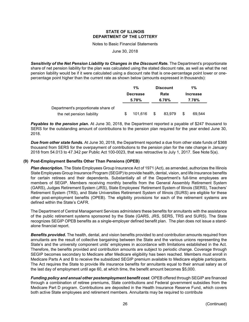Notes to Basic Financial Statements

June 30, 2018

*Sensitivity of the Net Pension Liability to Changes in the Discount Rate.* The Department's proportionate share of net pension liability for the plan was calculated using the stated discount rate, as well as what the net pension liability would be if it were calculated using a discount rate that is one-percentage point lower or onepercentage point higher than the current rate as shown below (amounts expressed in thousands):

|                                     | 1% |                          | <b>Discount</b> |               | $1\%$ |                          |  |
|-------------------------------------|----|--------------------------|-----------------|---------------|-------|--------------------------|--|
|                                     |    | <b>Decrease</b><br>5.78% |                 | Rate<br>6.78% |       | <b>Increase</b><br>7.78% |  |
| Department's proportionate share of |    |                          |                 |               |       |                          |  |
| the net pension liability           |    | 101.616                  | \$.             | 83.979        |       | 69.544                   |  |

*Payables to the pension plan.* At June 30, 2018, the Department reported a payable of \$247 thousand to SERS for the outstanding amount of contributions to the pension plan required for the year ended June 30, 2018.

*Due from other state funds.* At June 30, 2018, the Department reported a due from other state funds of \$368 thousand from SERS for the overpayment of contributions to the pension plan for the rate change in January 2018 from 54.013 to 47.342 per Public Act 100-0023, that was retroactive to July 1, 2017. See Note 5(a).

# **(9) Post-Employment Benefits Other Than Pensions (OPEB)**

*Plan description***.** The State Employees Group Insurance Act of 1971 (Act), as amended, authorizes the Illinois State Employees Group Insurance Program (SEGIP) to provide health, dental, vision, and life insurance benefits for certain retirees and their dependents. Substantially all of the Department's full-time employees are members of SEGIP. Members receiving monthly benefits from the General Assembly Retirement System (GARS), Judges Retirement System (JRS), State Employees' Retirement System of Illinois (SERS), Teachers' Retirement System (TRS), and State Universities Retirement System of Illinois (SURS) are eligible for these other post-employment benefits (OPEB). The eligibility provisions for each of the retirement systems are defined within the State's CAFR.

The Department of Central Management Services administers these benefits for annuitants with the assistance of the public retirement systems sponsored by the State (GARS, JRS, SERS, TRS and SURS). The State recognizes SEGIP OPEB benefits as a single-employer defined benefit plan. The plan does not issue a standalone financial report.

*Benefits provided***.** The health, dental, and vision benefits provided to and contribution amounts required from annuitants are the result of collective bargaining between the State and the various unions representing the State's and the university component units' employees in accordance with limitations established in the Act. Therefore, the benefits provided and contribution amounts are subject to periodic change. Coverage through SEGIP becomes secondary to Medicare after Medicare eligibility has been reached. Members must enroll in Medicare Parts A and B to receive the subsidized SEGIP premium available to Medicare eligible participants. The Act requires the State to provide life insurance benefits for annuitants equal to their annual salary as of the last day of employment until age 60, at which time, the benefit amount becomes \$5,000.

*Funding policy and annual other postemployment benefit cost*. OPEB offered through SEGIP are financed through a combination of retiree premiums, State contributions and Federal government subsidies from the Medicare Part D program. Contributions are deposited in the Health Insurance Reserve Fund, which covers both active State employees and retirement members. Annuitants may be required to contribute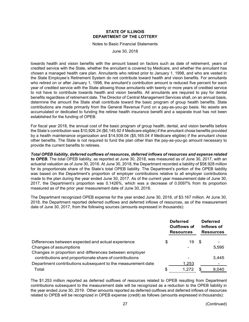#### Notes to Basic Financial Statements

June 30, 2018

towards health and vision benefits with the amount based on factors such as date of retirement, years of credited service with the State, whether the annuitant is covered by Medicare, and whether the annuitant has chosen a managed health care plan. Annuitants who retired prior to January 1, 1998, and who are vested in the State Employee's Retirement System do not contribute toward health and vision benefits. For annuitants who retired on or after January 1, 1998, the annuitant's contribution amount is reduced five percent for each year of credited service with the State allowing those annuitants with twenty or more years of credited service to not have to contribute towards health and vision benefits. All annuitants are required to pay for dental benefits regardless of retirement date. The Director of Central Management Services shall, on an annual basis, determine the amount the State shall contribute toward the basic program of group health benefits. State contributions are made primarily from the General Revenue Fund on a pay-as-you-go basis. No assets are accumulated or dedicated to funding the retiree health insurance benefit and a separate trust has not been established for the funding of OPEB.

For fiscal year 2018, the annual cost of the basic program of group health, dental, and vision benefits before the State's contribution was \$10,926.24 (\$6,145.92 if Medicare eligible) if the annuitant chose benefits provided by a health maintenance organization and \$14,939.04 (\$5,165.04 if Medicare eligible) if the annuitant chose other benefits. The State is not required to fund the plan other than the pay-as-you-go amount necessary to provide the current benefits to retirees.

*Total OPEB liability, deferred outflows of resources, deferred inflows of resources and expense related to OPEB***.** The total OPEB liability, as reported at June 30, 2018, was measured as of June 30, 2017, with an actuarial valuation as of June 30, 2016. At June 30, 2018, the Department recorded a liability of \$58.928 million for its proportionate share of the State's total OPEB liability. The Department's portion of the OPEB liability was based on the Department's proportion of employer contributions relative to all employer contributions made to the plan during the year ended June 30, 2017. As of the current year measurement date of June 30, 2017, the Department's proportion was 0.1426%, which was a decrease of 0.0097% from its proportion measured as of the prior year measurement date of June 30, 2016.

The Department recognized OPEB expense for the year ended June 30, 2018, of \$3.167 million. At June 30, 2018, the Department reported deferred outflows and deferred inflows of resources, as of the measurement date of June 30, 2017, from the following sources (amounts expressed in thousands):

|                                                             | <b>Deferred</b><br>Outflows of<br><b>Resources</b> |      | <b>Deferred</b><br>Inflows of<br><b>Resources</b> |
|-------------------------------------------------------------|----------------------------------------------------|------|---------------------------------------------------|
| Differences between expected and actual experience          | \$<br>19                                           | - \$ |                                                   |
| Changes of assumptions                                      |                                                    |      | 5,595                                             |
| Changes in proportion and differences between employer      |                                                    |      |                                                   |
| contributions and proportionate share of contributions      |                                                    |      | 3.445                                             |
| Department contributions subsequent to the measurement date | 1,253                                              |      |                                                   |
| Total                                                       | \$<br>1.272                                        |      | 9,040                                             |

The \$1.253 million reported as deferred outflows of resources related to OPEB resulting from Department contributions subsequent to the measurement date will be recognized as a reduction to the OPEB liability in the year ended June 30, 2019. Other amounts reported as deferred outflows and deferred inflows of resources related to OPEB will be recognized in OPEB expense (credit) as follows (amounts expressed in thousands):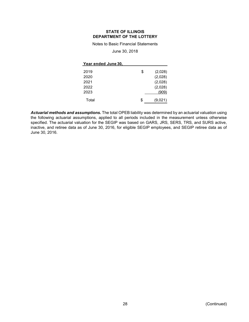#### Notes to Basic Financial Statements

# June 30, 2018

| Year ended June 30, |               |
|---------------------|---------------|
| 2019                | \$<br>(2,028) |
| 2020                | (2,028)       |
| 2021                | (2,028)       |
| 2022                | (2,028)       |
| 2023                | (909)         |
| Total               | \$<br>(9,021) |

*Actuarial methods and assumptions***.** The total OPEB liability was determined by an actuarial valuation using the following actuarial assumptions, applied to all periods included in the measurement unless otherwise specified. The actuarial valuation for the SEGIP was based on GARS, JRS, SERS, TRS, and SURS active, inactive, and retiree data as of June 30, 2016, for eligible SEGIP employees, and SEGIP retiree data as of June 30, 2016.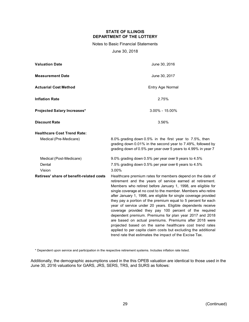Notes to Basic Financial Statements

June 30, 2018

| <b>Valuation Date</b>                    | June 30, 2016                                                                                                                                                                                                                                                                                                                                                                                                                                                                                                                                                                                                                                                                                                                                                                                                                      |  |  |  |  |
|------------------------------------------|------------------------------------------------------------------------------------------------------------------------------------------------------------------------------------------------------------------------------------------------------------------------------------------------------------------------------------------------------------------------------------------------------------------------------------------------------------------------------------------------------------------------------------------------------------------------------------------------------------------------------------------------------------------------------------------------------------------------------------------------------------------------------------------------------------------------------------|--|--|--|--|
| <b>Measurement Date</b>                  | June 30, 2017                                                                                                                                                                                                                                                                                                                                                                                                                                                                                                                                                                                                                                                                                                                                                                                                                      |  |  |  |  |
| <b>Actuarial Cost Method</b>             | Entry Age Normal                                                                                                                                                                                                                                                                                                                                                                                                                                                                                                                                                                                                                                                                                                                                                                                                                   |  |  |  |  |
| <b>Inflation Rate</b>                    | 2.75%                                                                                                                                                                                                                                                                                                                                                                                                                                                                                                                                                                                                                                                                                                                                                                                                                              |  |  |  |  |
| Projected Salary Increases*              | 3.00% - 15.00%                                                                                                                                                                                                                                                                                                                                                                                                                                                                                                                                                                                                                                                                                                                                                                                                                     |  |  |  |  |
| <b>Discount Rate</b>                     | 3.56%                                                                                                                                                                                                                                                                                                                                                                                                                                                                                                                                                                                                                                                                                                                                                                                                                              |  |  |  |  |
| <b>Healthcare Cost Trend Rate:</b>       |                                                                                                                                                                                                                                                                                                                                                                                                                                                                                                                                                                                                                                                                                                                                                                                                                                    |  |  |  |  |
| Medical (Pre-Medicare)                   | 8.0% grading down 0.5% in the first year to 7.5%, then<br>grading down 0.01% in the second year to 7.49%, followed by<br>grading down of 0.5% per year over 5 years to 4.99% in year 7                                                                                                                                                                                                                                                                                                                                                                                                                                                                                                                                                                                                                                             |  |  |  |  |
| Medical (Post-Medicare)                  | 9.0% grading down 0.5% per year over 9 years to 4.5%                                                                                                                                                                                                                                                                                                                                                                                                                                                                                                                                                                                                                                                                                                                                                                               |  |  |  |  |
| Dental                                   | 7.5% grading down 0.5% per year over 6 years to 4.5%                                                                                                                                                                                                                                                                                                                                                                                                                                                                                                                                                                                                                                                                                                                                                                               |  |  |  |  |
| Vision                                   | 3.00%                                                                                                                                                                                                                                                                                                                                                                                                                                                                                                                                                                                                                                                                                                                                                                                                                              |  |  |  |  |
| Retirees' share of benefit-related costs | Healthcare premium rates for members depend on the date of<br>retirement and the years of service earned at retirement.<br>Members who retired before January 1, 1998, are eligible for<br>single coverage at no cost to the member. Members who retire<br>after January 1, 1998, are eligible for single coverage provided<br>they pay a portion of the premium equal to 5 percent for each<br>year of service under 20 years. Eligible dependents receive<br>coverage provided they pay 100 percent of the required<br>dependent premium. Premiums for plan year 2017 and 2018<br>are based on actual premiums. Premiums after 2018 were<br>projected based on the same healthcare cost trend rates<br>applied to per capita claim costs but excluding the additional<br>trend rate that estimates the impact of the Excise Tax. |  |  |  |  |

\* Dependent upon service and participation in the respective retirement systems. Includes inflation rate listed.

Additionally, the demographic assumptions used in the this OPEB valuation are identical to those used in the June 30, 2016 valuations for GARS, JRS, SERS, TRS, and SURS as follows: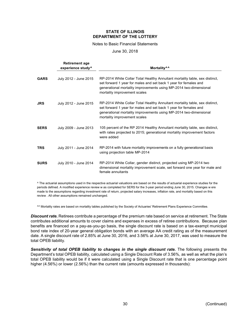#### Notes to Basic Financial Statements

June 30, 2018

|             | <b>Retirement age</b><br>experience study <sup>^</sup> | Mortality <sup>^^</sup>                                                                                                                                                                                                                              |
|-------------|--------------------------------------------------------|------------------------------------------------------------------------------------------------------------------------------------------------------------------------------------------------------------------------------------------------------|
| <b>GARS</b> | July 2012 - June 2015                                  | RP-2014 White Collar Total Healthy Annuitant mortality table, sex distinct,<br>set forward 1 year for males and set back 1 year for females and<br>generational mortality improvements using MP-2014 two-dimensional<br>mortality improvement scales |
| <b>JRS</b>  | July 2012 - June 2015                                  | RP-2014 White Collar Total Healthy Annuitant mortality table, sex distinct,<br>set forward 1 year for males and set back 1 year for females and<br>generational mortality improvements using MP-2014 two-dimensional<br>mortality improvement scales |
| <b>SERS</b> | July 2009 - June 2013                                  | 105 percent of the RP 2014 Healthy Annuitant mortality table, sex distinct,<br>with rates projected to 2015; generational mortality improvement factors<br>were added                                                                                |
| <b>TRS</b>  | July 2011 - June 2014                                  | RP-2014 with future mortality improvements on a fully generational basis<br>using projection table MP-2014                                                                                                                                           |
| <b>SURS</b> | July 2010 - June 2014                                  | RP-2014 White Collar, gender distinct, projected using MP-2014 two<br>dimensional mortality improvement scale, set forward one year for male and<br>female annuitants                                                                                |

^ The actuarial assumptions used in the respective actuarial valuations are based on the results of actuarial experience studies for the periods defined. A modified experience review w as completed for SERS for the 3-year period ending June 30, 2015. Changes w ere made to the assumptions regarding investment rate of return, projected salary increases, inflation rate, and mortality based on this review . All other assumptions remained unchanged.

^^ Mortality rates are based on mortality tables published by the Society of Actuaries' Retirement Plans Experience Committee.

*Discount rate***.** Retirees contribute a percentage of the premium rate based on service at retirement. The State contributes additional amounts to cover claims and expenses in excess of retiree contributions. Because plan benefits are financed on a pay-as-you-go basis, the single discount rate is based on a tax-exempt municipal bond rate index of 20-year general obligation bonds with an average AA credit rating as of the measurement date. A single discount rate of 2.85% at June 30, 2016, and 3.56% at June 30, 2017, was used to measure the total OPEB liability.

Sensitivity of total OPEB liability to changes in the single discount rate. The following presents the Department's total OPEB liability, calculated using a Single Discount Rate of 3.56%, as well as what the plan's total OPEB liability would be if it were calculated using a Single Discount rate that is one percentage point higher (4.56%) or lower (2.56%) than the current rate (amounts expressed in thousands):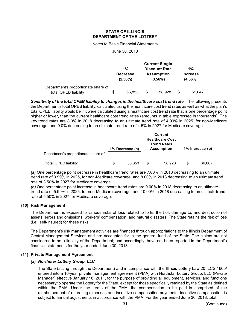Notes to Basic Financial Statements

June 30, 2018

|                                                             | <b>Current Single</b>               |        |                                                         |        |                                     |        |  |
|-------------------------------------------------------------|-------------------------------------|--------|---------------------------------------------------------|--------|-------------------------------------|--------|--|
|                                                             | 1%<br><b>Decrease</b><br>$(2.56\%)$ |        | <b>Discount Rate</b><br><b>Assumption</b><br>$(3.56\%)$ |        | 1%<br><b>Increase</b><br>$(4.56\%)$ |        |  |
|                                                             |                                     |        |                                                         |        |                                     |        |  |
| Department's proportionate share of<br>total OPEB liability | \$                                  | 66,853 | \$.                                                     | 58.928 |                                     | 51.047 |  |

*Sensitivity of the total OPEB liability to changes in the healthcare cost trend rate.* The following presents the Department's total OPEB liability, calculated using the healthcare cost trend rates as well as what the plan's total OPEB liability would be if it were calculated using a healthcare cost trend rate that is one percentage point higher or lower, than the current healthcare cost trend rates (amounts in table expressed in thousands). The key trend rates are 8.0% in 2018 decreasing to an ultimate trend rate of 4.99% in 2025, for non-Medicare coverage, and 9.0% decreasing to an ultimate trend rate of 4.5% in 2027 for Medicare coverage.

|                                     | Current<br><b>Healthcare Cost</b><br><b>Trend Rates</b> |                 |                   |        |                 |        |  |
|-------------------------------------|---------------------------------------------------------|-----------------|-------------------|--------|-----------------|--------|--|
|                                     |                                                         | 1% Decrease (a) | <b>Assumption</b> |        | 1% Increase (b) |        |  |
| Department's proportionate share of |                                                         |                 |                   |        |                 |        |  |
| total OPEB liability                | \$                                                      | 50.353          | \$.               | 58.928 |                 | 66.007 |  |

*(a)* One percentage point decrease in healthcare trend rates are 7.00% in 2018 decreasing to an ultimate trend rate of 3.99% in 2025, for non-Medicare coverage, and 8.00% in 2018 decreasing to an ultimate trend rate of 3.50% in 2027 for Medicare coverage.

*(b)* One percentage point increase in healthcare trend rates are 9.00% in 2018 decreasing to an ultimate trend rate of 5.99% in 2025, for non-Medicare coverage, and 10.00% in 2018 decreasing to an ultimatetrend rate of 5.50% in 2027 for Medicare coverage.

# **(10) Risk Management**

The Department is exposed to various risks of loss related to torts; theft of, damage to, and destruction of assets; errors and omissions; workers' compensation; and natural disasters. The State retains the risk of loss (i.e., self-insured) for these risks.

The Department's risk management activities are financed through appropriations to the Illinois Department of Central Management Services and are accounted for in the general fund of the State. The claims are not considered to be a liability of the Department; and accordingly, have not been reported in the Department's financial statements for the year ended June 30, 2018.

# **(11) Private Management Agreement**

# *(a) Northstar Lottery Group, LLC*

The State (acting through the Department) and in compliance with the Illinois Lottery Law 20 ILCS 1605/ entered into a 10-year private management agreement (PMA) with Northstar Lottery Group, LLC (Private Manager) effective January 18, 2011, for the purpose of providing all equipment, services, and functions necessary to operate the Lottery for the State, except for those specifically retained by the State as defined within the PMA. Under the terms of the PMA, the compensation to be paid is comprised of the reimbursement of operating expenses and incentive compensation payments. Incentive compensation is subject to annual adjustments in accordance with the PMA. For the year ended June 30, 2018, total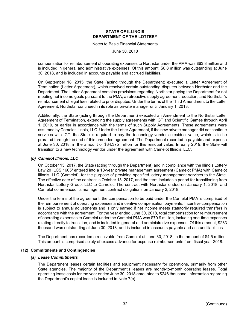#### Notes to Basic Financial Statements

June 30, 2018

compensation for reimbursement of operating expenses to Northstar under the PMA was \$63.8 million and is included in general and administrative expenses. Of this amount, \$6.8 million was outstanding at June 30, 2018, and is included in accounts payable and accrued liabilities.

On September 18, 2015, the State (acting through the Department) executed a Letter Agreement of Termination (Letter Agreement), which resolved certain outstanding disputes between Northstar and the Department. The Letter Agreement contains provisions regarding Northstar paying the Department for not meeting net income goals pursuant to the PMA, a retroactive supply agreement reduction, and Northstar's reimbursement of legal fees related to prior disputes. Under the terms of the Third Amendment to the Letter Agreement, Northstar continued in its role as private manager until January 1, 2018.

Additionally, the State (acting through the Department) executed an Amendment to the Northstar Letter Agreement of Termination, extending the supply agreements with IGT and Scientific Games through April 1, 2019, or earlier in accordance with the terms of such Supply Agreements. These agreements were assumed by Camelot Illinois, LLC. Under the Letter Agreement, if the new private manager did not continue services with IGT, the State is required to pay the technology vendor a residual value, which is to be prorated through the end of this amended agreement. The Department recorded a payable and expense at June 30, 2018, in the amount of \$34.375 million for this residual value. In early 2019, the State will transition to a new technology vendor under the agreement with Camelot Illinois, LLC.

#### *(b) Camelot Illinois, LLC*

On October 13, 2017, the State (acting through the Department) and in compliance with the Illinois Lottery Law 20 ILCS 1605/ entered into a 10-year private management agreement (Camelot PMA) with Camelot Illinois, LLC (Camelot), for the purpose of providing specified lottery management services to the State. The effective date of the contract is October 13, 2017, and the term includes a period for transitioning from Northstar Lottery Group, LLC to Camelot. The contract with Northstar ended on January 1, 2018, and Camelot commenced its management contract obligations on January 2, 2018.

Under the terms of the agreement, the compensation to be paid under the Camelot PMA is comprised of the reimbursement of operating expenses and incentive compensation payments. Incentive compensation is subject to annual adjustments and is only earned if net income meets statutorily required transfers in accordance with the agreement. For the year ended June 30, 2018, total compensation for reimbursement of operating expenses to Camelot under the Camelot PMA was \$70.9 million, including one-time expenses relating directly to transition, and is included in general and administrative expenses. Of this amount, \$233 thousand was outstanding at June 30, 2018, and is included in accounts payable and accrued liabilities.

The Department has recorded a receivable from Camelot at June 30, 2018, in the amount of \$4.5 million. This amount is comprised solely of excess advance for expense reimbursements from fiscal year 2018.

# **(12) Commitments and Contingencies**

#### *(a) Lease Commitments*

The Department leases certain facilities and equipment necessary for operations, primarily from other State agencies. The majority of the Department's leases are month-to-month operating leases. Total operating lease costs for the year ended June 30, 2018 amounted to \$246 thousand. Information regarding the Department's capital lease is included in Note 7(c).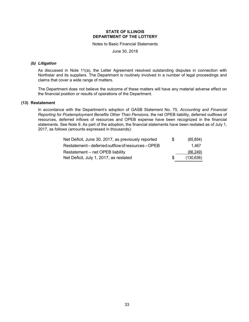Notes to Basic Financial Statements

June 30, 2018

#### *(b) Litigation*

As discussed in Note 11(a), the Letter Agreement resolved outstanding disputes in connection with Northstar and its suppliers. The Department is routinely involved in a number of legal proceedings and claims that cover a wide range of matters.

The Department does not believe the outcome of these matters will have any material adverse effect on the financial position or results of operations of the Department.

#### **(13) Restatement**

In accordance with the Department's adoption of GASB Statement No. 75, *Accounting and Financial Reporting for Postemployment Benefits Other Than Pensions*, the net OPEB liability, deferred outflows of resources, deferred inflows of resources and OPEB expense have been recognized in the financial statements. See Note 9. As part of the adoption, the financial statements have been restated as of July 1, 2017, as follows (amounts expressed in thousands):

| Net Deficit, June 30, 2017, as previously reported | -SS | (65, 854)  |
|----------------------------------------------------|-----|------------|
| Restatement-deferred outflow of resources-OPEB     |     | 1.467      |
| Restatement – net OPEB liability                   |     | (66, 249)  |
| Net Deficit, July 1, 2017, as restated             |     | (130, 636) |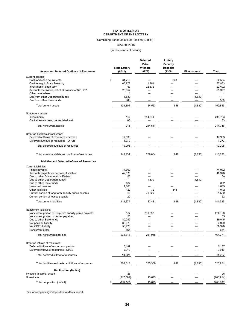Combining Schedule of Net Position (Deficit)

June 30, 2018

(in thousands of dollars)

| <b>Assets and Deferred Outflows of Resources</b>       | <b>State Lottery</b><br>(0711) | <b>Deferred</b><br>Prize<br><b>Winners</b><br>(0978) | Lottery<br><b>Security</b><br><b>Deposits</b><br>(1309) | <b>Eliminations</b> | Total        |
|--------------------------------------------------------|--------------------------------|------------------------------------------------------|---------------------------------------------------------|---------------------|--------------|
| Current assets:                                        |                                |                                                      |                                                         |                     |              |
| Cash and cash equivalents                              | \$<br>31,716                   |                                                      | 848                                                     |                     | 32,564       |
| Cash equity in State Treasury                          | 65,972                         | 1.891                                                |                                                         |                     | 67,863       |
| Investments, short-term                                | 60                             | 22,632                                               |                                                         |                     | 22,692       |
| Accounts receivable, net of allowance of \$21,157      | 29,357                         |                                                      |                                                         |                     | 29,357       |
| Other receivables                                      | 1                              |                                                      |                                                         |                     | $\mathbf{1}$ |
| Due from other Department funds                        | 1,830                          |                                                      |                                                         | (1,830)             |              |
| Due from other State funds                             | 368                            |                                                      |                                                         |                     | 368          |
| Total current assets                                   | 129,304                        | 24,523                                               | 848                                                     | (1,830)             | 152,845      |
| Noncurrent assets:                                     |                                |                                                      |                                                         |                     |              |
| Investments                                            | 162                            | 244,541                                              |                                                         |                     | 244,703      |
| Capital assets being depreciated, net                  | 83                             |                                                      |                                                         |                     | 83           |
| Total noncurrent assets                                | 245                            | 244,541                                              |                                                         |                     | 244,786      |
|                                                        |                                |                                                      |                                                         |                     |              |
| Deferred outflows of resources:                        |                                |                                                      |                                                         |                     |              |
| Deferred outflows of resources - pension               | 17,933                         |                                                      |                                                         |                     | 17,933       |
| Deferred outflows of resources - OPEB                  | 1,272                          |                                                      |                                                         |                     | 1,272        |
| Total deferred outflows of resources                   | 19,205                         |                                                      |                                                         |                     | 19,205       |
| Total assets and deferred outflows of resources        | 148,754                        | 269,064                                              | 848                                                     | (1, 830)            | 416,836      |
| <b>Liabilities and Deferred Inflows of Resources</b>   |                                |                                                      |                                                         |                     |              |
| Current liabilities:                                   |                                |                                                      |                                                         |                     |              |
| Prizes payable                                         | 74,002                         |                                                      |                                                         |                     | 74,002       |
| Accounts payable and accrued liabilities               | 42,376                         |                                                      |                                                         |                     | 42,376       |
| Due to other Government - Federal                      | 60                             |                                                      |                                                         |                     | 60           |
| Due to other Department funds                          |                                | 1,830                                                |                                                         | (1, 830)            |              |
| Due to other State funds                               | 832                            |                                                      |                                                         |                     | 832          |
| Unearned revenue                                       | 1,803                          |                                                      |                                                         |                     | 1,803        |
| Other liabilities                                      | 122                            | 72                                                   | 848                                                     |                     | 1,042        |
| Current portion of long-term annuity prizes payable    | 60                             | 21,529                                               |                                                         |                     | 21,589       |
| Current portion of leases payable                      | 22                             |                                                      |                                                         |                     | 22           |
| <b>Total current liabilities</b>                       | 119,277                        | 23,431                                               | 848                                                     | (1,830)             | 141,726      |
| Noncurrent liabilities:                                |                                |                                                      |                                                         |                     |              |
| Noncurrent portion of long-term annuity prizes payable | 162                            | 231,958                                              |                                                         |                     | 232,120      |
| Noncurrent portion of leases payable                   | 35                             |                                                      |                                                         |                     | 35           |
| Due to other State funds                               | 89,045                         |                                                      |                                                         |                     | 89,045       |
| Net pension liability                                  | 83,979                         |                                                      |                                                         |                     | 83,979       |
| Net OPEB liability                                     | 58,928                         |                                                      |                                                         |                     | 58,928       |
| Noncurrent other                                       | 664                            |                                                      |                                                         |                     | 664          |
| Total noncurrent liabilities                           | 232,813                        | 231,958                                              |                                                         |                     | 464,771      |
| Deferred inflows of resources:                         |                                |                                                      |                                                         |                     |              |
| Deferred inflows of resources - pension                | 5,187                          |                                                      |                                                         |                     | 5,187        |
| Deferred inflows of resources - OPEB                   | 9,040                          |                                                      |                                                         |                     | 9,040        |
| Total deferred inflows of resources                    | 14,227                         |                                                      |                                                         |                     | 14,227       |
| Total liabilities and deferred inflows of resources    | 366,317                        | 255,389                                              | 848                                                     | (1, 830)            | 620,724      |
| <b>Net Position (Deficit)</b>                          |                                |                                                      |                                                         |                     |              |
| Invested in capital assets                             | 26                             |                                                      |                                                         |                     | 26           |
| Unrestricted                                           | (217, 589)                     | 13,675                                               |                                                         |                     | (203, 914)   |
|                                                        |                                |                                                      |                                                         |                     |              |
| Total net position (deficit)                           | (217, 563)<br>\$               | 13,675                                               |                                                         |                     | (203, 888)   |

See accompanying independent auditors' report.